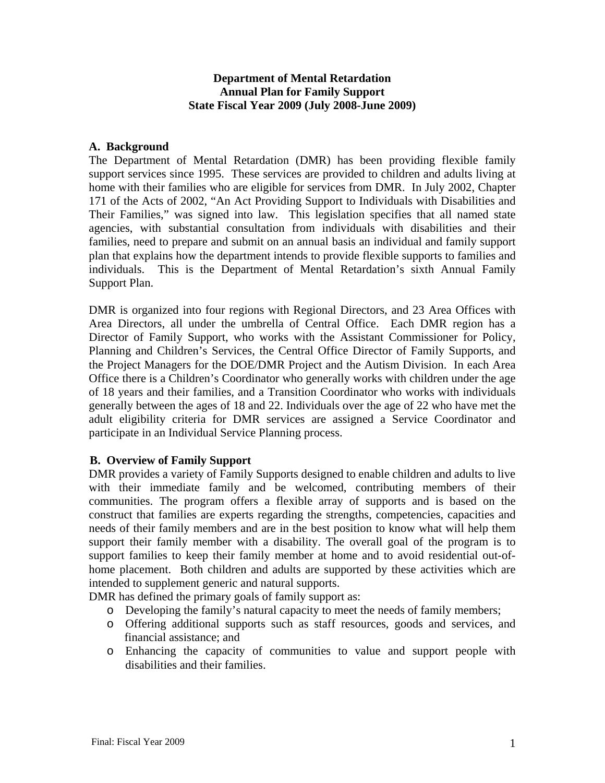## **Department of Mental Retardation Annual Plan for Family Support State Fiscal Year 2009 (July 2008-June 2009)**

#### **A. Background**

The Department of Mental Retardation (DMR) has been providing flexible family support services since 1995. These services are provided to children and adults living at home with their families who are eligible for services from DMR. In July 2002, Chapter 171 of the Acts of 2002, "An Act Providing Support to Individuals with Disabilities and Their Families," was signed into law. This legislation specifies that all named state agencies, with substantial consultation from individuals with disabilities and their families, need to prepare and submit on an annual basis an individual and family support plan that explains how the department intends to provide flexible supports to families and individuals. This is the Department of Mental Retardation's sixth Annual Family Support Plan.

DMR is organized into four regions with Regional Directors, and 23 Area Offices with Area Directors, all under the umbrella of Central Office. Each DMR region has a Director of Family Support, who works with the Assistant Commissioner for Policy, Planning and Children's Services, the Central Office Director of Family Supports, and the Project Managers for the DOE/DMR Project and the Autism Division. In each Area Office there is a Children's Coordinator who generally works with children under the age of 18 years and their families, and a Transition Coordinator who works with individuals generally between the ages of 18 and 22. Individuals over the age of 22 who have met the adult eligibility criteria for DMR services are assigned a Service Coordinator and participate in an Individual Service Planning process.

# **B. Overview of Family Support**

DMR provides a variety of Family Supports designed to enable children and adults to live with their immediate family and be welcomed, contributing members of their communities. The program offers a flexible array of supports and is based on the construct that families are experts regarding the strengths, competencies, capacities and needs of their family members and are in the best position to know what will help them support their family member with a disability. The overall goal of the program is to support families to keep their family member at home and to avoid residential out-ofhome placement. Both children and adults are supported by these activities which are intended to supplement generic and natural supports.

DMR has defined the primary goals of family support as:

- o Developing the family's natural capacity to meet the needs of family members;
- o Offering additional supports such as staff resources, goods and services, and financial assistance; and
- o Enhancing the capacity of communities to value and support people with disabilities and their families.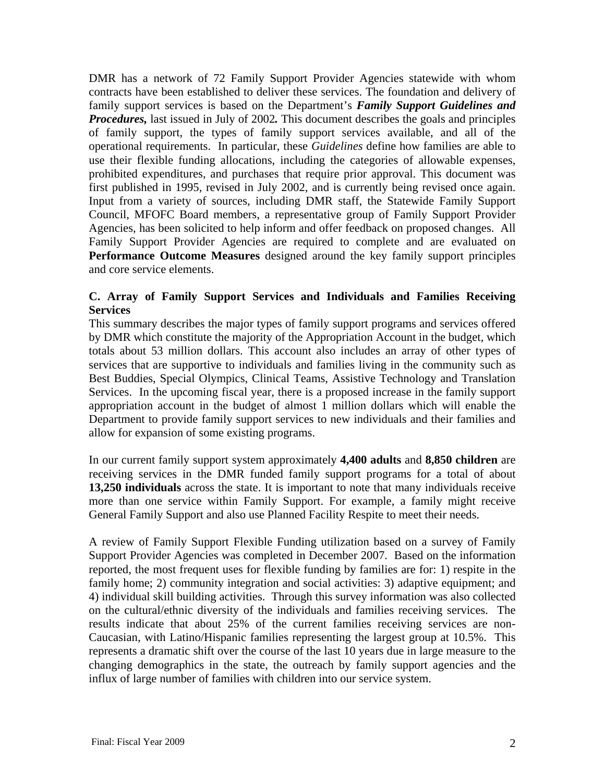DMR has a network of 72 Family Support Provider Agencies statewide with whom contracts have been established to deliver these services. The foundation and delivery of family support services is based on the Department's *Family Support Guidelines and Procedures,* last issued in July of 2002*.* This document describes the goals and principles of family support, the types of family support services available, and all of the operational requirements. In particular, these *Guidelines* define how families are able to use their flexible funding allocations, including the categories of allowable expenses, prohibited expenditures, and purchases that require prior approval. This document was first published in 1995, revised in July 2002, and is currently being revised once again. Input from a variety of sources, including DMR staff, the Statewide Family Support Council, MFOFC Board members, a representative group of Family Support Provider Agencies, has been solicited to help inform and offer feedback on proposed changes. All Family Support Provider Agencies are required to complete and are evaluated on **Performance Outcome Measures** designed around the key family support principles and core service elements.

# **C. Array of Family Support Services and Individuals and Families Receiving Services**

This summary describes the major types of family support programs and services offered by DMR which constitute the majority of the Appropriation Account in the budget, which totals about 53 million dollars. This account also includes an array of other types of services that are supportive to individuals and families living in the community such as Best Buddies, Special Olympics, Clinical Teams, Assistive Technology and Translation Services. In the upcoming fiscal year, there is a proposed increase in the family support appropriation account in the budget of almost 1 million dollars which will enable the Department to provide family support services to new individuals and their families and allow for expansion of some existing programs.

In our current family support system approximately **4,400 adults** and **8,850 children** are receiving services in the DMR funded family support programs for a total of about **13,250 individuals** across the state. It is important to note that many individuals receive more than one service within Family Support. For example, a family might receive General Family Support and also use Planned Facility Respite to meet their needs.

A review of Family Support Flexible Funding utilization based on a survey of Family Support Provider Agencies was completed in December 2007. Based on the information reported, the most frequent uses for flexible funding by families are for: 1) respite in the family home; 2) community integration and social activities: 3) adaptive equipment; and 4) individual skill building activities. Through this survey information was also collected on the cultural/ethnic diversity of the individuals and families receiving services. The results indicate that about 25% of the current families receiving services are non-Caucasian, with Latino/Hispanic families representing the largest group at 10.5%. This represents a dramatic shift over the course of the last 10 years due in large measure to the changing demographics in the state, the outreach by family support agencies and the influx of large number of families with children into our service system.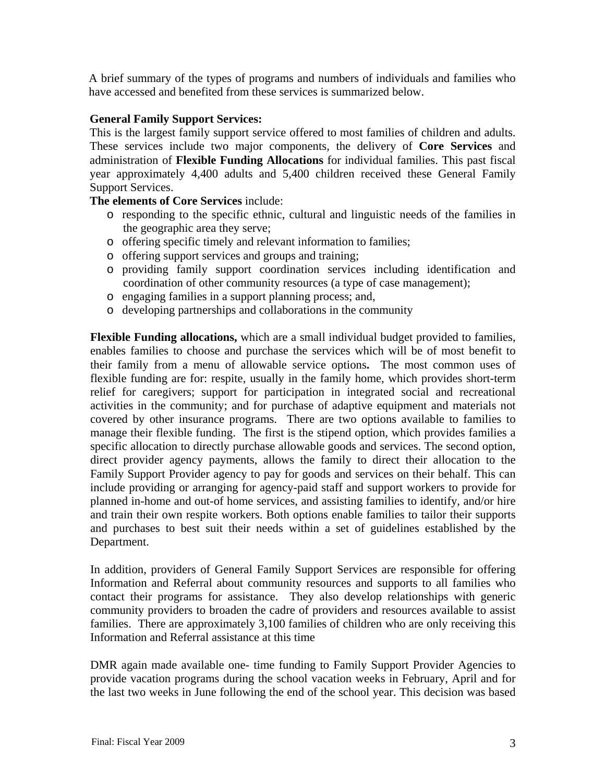A brief summary of the types of programs and numbers of individuals and families who have accessed and benefited from these services is summarized below.

## **General Family Support Services:**

This is the largest family support service offered to most families of children and adults. These services include two major components, the delivery of **Core Services** and administration of **Flexible Funding Allocations** for individual families. This past fiscal year approximately 4,400 adults and 5,400 children received these General Family Support Services.

# **The elements of Core Services** include:

- o responding to the specific ethnic, cultural and linguistic needs of the families in the geographic area they serve;
- o offering specific timely and relevant information to families;
- o offering support services and groups and training;
- o providing family support coordination services including identification and coordination of other community resources (a type of case management);
- o engaging families in a support planning process; and,
- o developing partnerships and collaborations in the community

**Flexible Funding allocations,** which are a small individual budget provided to families, enables families to choose and purchase the services which will be of most benefit to their family from a menu of allowable service options**.** The most common uses of flexible funding are for: respite, usually in the family home, which provides short-term relief for caregivers; support for participation in integrated social and recreational activities in the community; and for purchase of adaptive equipment and materials not covered by other insurance programs. There are two options available to families to manage their flexible funding. The first is the stipend option, which provides families a specific allocation to directly purchase allowable goods and services. The second option, direct provider agency payments, allows the family to direct their allocation to the Family Support Provider agency to pay for goods and services on their behalf. This can include providing or arranging for agency-paid staff and support workers to provide for planned in-home and out-of home services, and assisting families to identify, and/or hire and train their own respite workers. Both options enable families to tailor their supports and purchases to best suit their needs within a set of guidelines established by the Department.

In addition, providers of General Family Support Services are responsible for offering Information and Referral about community resources and supports to all families who contact their programs for assistance. They also develop relationships with generic community providers to broaden the cadre of providers and resources available to assist families. There are approximately 3,100 families of children who are only receiving this Information and Referral assistance at this time

DMR again made available one- time funding to Family Support Provider Agencies to provide vacation programs during the school vacation weeks in February, April and for the last two weeks in June following the end of the school year. This decision was based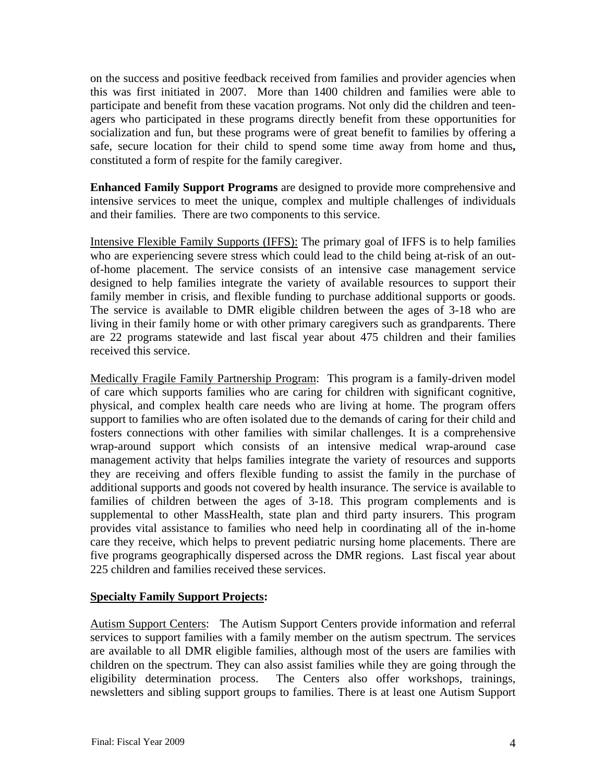on the success and positive feedback received from families and provider agencies when this was first initiated in 2007. More than 1400 children and families were able to participate and benefit from these vacation programs. Not only did the children and teenagers who participated in these programs directly benefit from these opportunities for socialization and fun, but these programs were of great benefit to families by offering a safe, secure location for their child to spend some time away from home and thus**,** constituted a form of respite for the family caregiver.

**Enhanced Family Support Programs** are designed to provide more comprehensive and intensive services to meet the unique, complex and multiple challenges of individuals and their families. There are two components to this service.

Intensive Flexible Family Supports (IFFS): The primary goal of IFFS is to help families who are experiencing severe stress which could lead to the child being at-risk of an outof-home placement. The service consists of an intensive case management service designed to help families integrate the variety of available resources to support their family member in crisis, and flexible funding to purchase additional supports or goods. The service is available to DMR eligible children between the ages of 3-18 who are living in their family home or with other primary caregivers such as grandparents. There are 22 programs statewide and last fiscal year about 475 children and their families received this service.

Medically Fragile Family Partnership Program: This program is a family-driven model of care which supports families who are caring for children with significant cognitive, physical, and complex health care needs who are living at home. The program offers support to families who are often isolated due to the demands of caring for their child and fosters connections with other families with similar challenges. It is a comprehensive wrap-around support which consists of an intensive medical wrap-around case management activity that helps families integrate the variety of resources and supports they are receiving and offers flexible funding to assist the family in the purchase of additional supports and goods not covered by health insurance. The service is available to families of children between the ages of 3-18. This program complements and is supplemental to other MassHealth, state plan and third party insurers. This program provides vital assistance to families who need help in coordinating all of the in-home care they receive, which helps to prevent pediatric nursing home placements. There are five programs geographically dispersed across the DMR regions. Last fiscal year about 225 children and families received these services.

#### **Specialty Family Support Projects:**

Autism Support Centers: The Autism Support Centers provide information and referral services to support families with a family member on the autism spectrum. The services are available to all DMR eligible families, although most of the users are families with children on the spectrum. They can also assist families while they are going through the eligibility determination process. The Centers also offer workshops, trainings, newsletters and sibling support groups to families. There is at least one Autism Support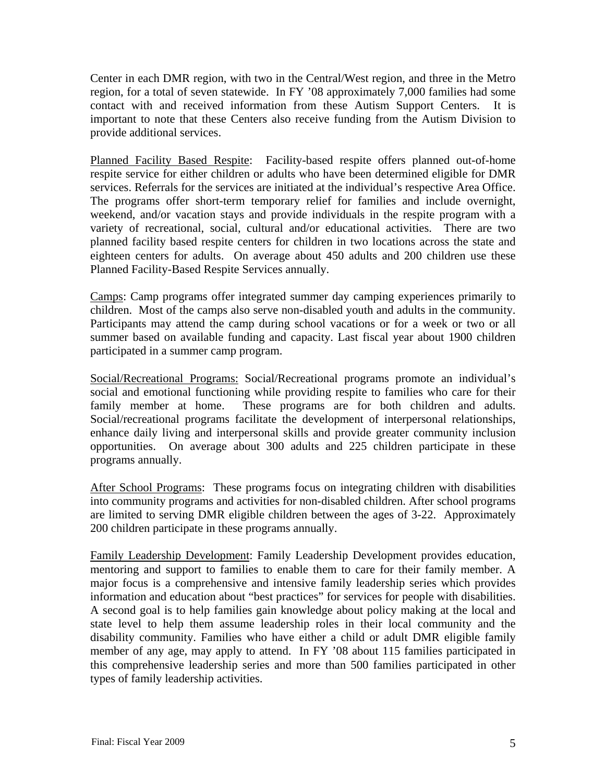Center in each DMR region, with two in the Central/West region, and three in the Metro region, for a total of seven statewide. In FY '08 approximately 7,000 families had some contact with and received information from these Autism Support Centers. It is important to note that these Centers also receive funding from the Autism Division to provide additional services.

Planned Facility Based Respite: Facility-based respite offers planned out-of-home respite service for either children or adults who have been determined eligible for DMR services. Referrals for the services are initiated at the individual's respective Area Office. The programs offer short-term temporary relief for families and include overnight, weekend, and/or vacation stays and provide individuals in the respite program with a variety of recreational, social, cultural and/or educational activities. There are two planned facility based respite centers for children in two locations across the state and eighteen centers for adults. On average about 450 adults and 200 children use these Planned Facility-Based Respite Services annually.

Camps: Camp programs offer integrated summer day camping experiences primarily to children. Most of the camps also serve non-disabled youth and adults in the community. Participants may attend the camp during school vacations or for a week or two or all summer based on available funding and capacity. Last fiscal year about 1900 children participated in a summer camp program.

Social/Recreational Programs: Social/Recreational programs promote an individual's social and emotional functioning while providing respite to families who care for their family member at home. These programs are for both children and adults. Social/recreational programs facilitate the development of interpersonal relationships, enhance daily living and interpersonal skills and provide greater community inclusion opportunities. On average about 300 adults and 225 children participate in these programs annually.

After School Programs: These programs focus on integrating children with disabilities into community programs and activities for non-disabled children. After school programs are limited to serving DMR eligible children between the ages of 3-22. Approximately 200 children participate in these programs annually.

Family Leadership Development: Family Leadership Development provides education, mentoring and support to families to enable them to care for their family member. A major focus is a comprehensive and intensive family leadership series which provides information and education about "best practices" for services for people with disabilities. A second goal is to help families gain knowledge about policy making at the local and state level to help them assume leadership roles in their local community and the disability community. Families who have either a child or adult DMR eligible family member of any age, may apply to attend. In FY '08 about 115 families participated in this comprehensive leadership series and more than 500 families participated in other types of family leadership activities.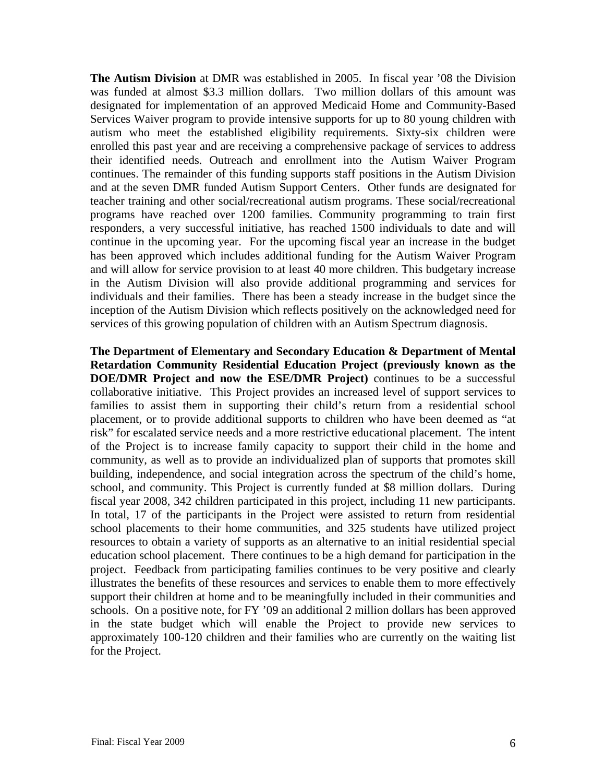**The Autism Division** at DMR was established in 2005. In fiscal year '08 the Division was funded at almost \$3.3 million dollars. Two million dollars of this amount was designated for implementation of an approved Medicaid Home and Community-Based Services Waiver program to provide intensive supports for up to 80 young children with autism who meet the established eligibility requirements. Sixty-six children were enrolled this past year and are receiving a comprehensive package of services to address their identified needs. Outreach and enrollment into the Autism Waiver Program continues. The remainder of this funding supports staff positions in the Autism Division and at the seven DMR funded Autism Support Centers. Other funds are designated for teacher training and other social/recreational autism programs. These social/recreational programs have reached over 1200 families. Community programming to train first responders, a very successful initiative, has reached 1500 individuals to date and will continue in the upcoming year. For the upcoming fiscal year an increase in the budget has been approved which includes additional funding for the Autism Waiver Program and will allow for service provision to at least 40 more children. This budgetary increase in the Autism Division will also provide additional programming and services for individuals and their families. There has been a steady increase in the budget since the inception of the Autism Division which reflects positively on the acknowledged need for services of this growing population of children with an Autism Spectrum diagnosis.

**The Department of Elementary and Secondary Education & Department of Mental Retardation Community Residential Education Project (previously known as the DOE/DMR Project and now the ESE/DMR Project)** continues to be a successful collaborative initiative. This Project provides an increased level of support services to families to assist them in supporting their child's return from a residential school placement, or to provide additional supports to children who have been deemed as "at risk" for escalated service needs and a more restrictive educational placement. The intent of the Project is to increase family capacity to support their child in the home and community, as well as to provide an individualized plan of supports that promotes skill building, independence, and social integration across the spectrum of the child's home, school, and community. This Project is currently funded at \$8 million dollars. During fiscal year 2008, 342 children participated in this project, including 11 new participants. In total, 17 of the participants in the Project were assisted to return from residential school placements to their home communities, and 325 students have utilized project resources to obtain a variety of supports as an alternative to an initial residential special education school placement. There continues to be a high demand for participation in the project. Feedback from participating families continues to be very positive and clearly illustrates the benefits of these resources and services to enable them to more effectively support their children at home and to be meaningfully included in their communities and schools. On a positive note, for FY '09 an additional 2 million dollars has been approved in the state budget which will enable the Project to provide new services to approximately 100-120 children and their families who are currently on the waiting list for the Project.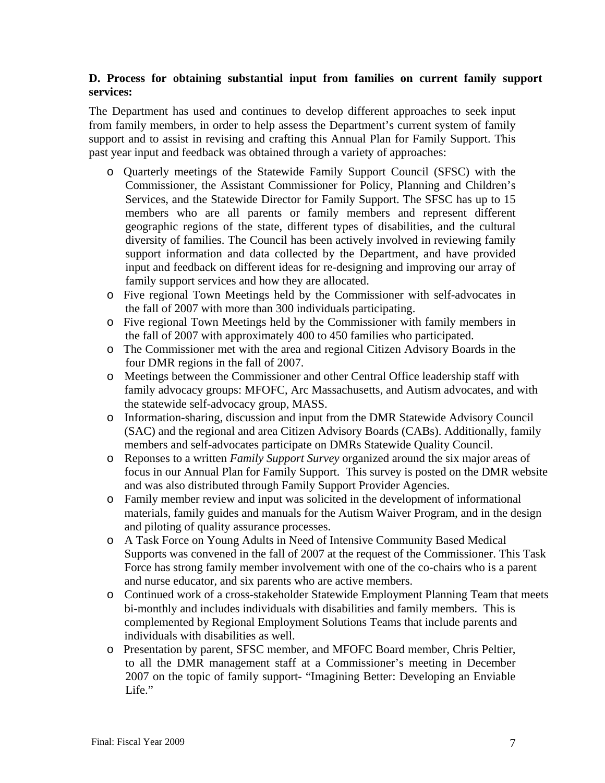#### **D. Process for obtaining substantial input from families on current family support services:**

The Department has used and continues to develop different approaches to seek input from family members, in order to help assess the Department's current system of family support and to assist in revising and crafting this Annual Plan for Family Support. This past year input and feedback was obtained through a variety of approaches:

- o Quarterly meetings of the Statewide Family Support Council (SFSC) with the Commissioner, the Assistant Commissioner for Policy, Planning and Children's Services, and the Statewide Director for Family Support. The SFSC has up to 15 members who are all parents or family members and represent different geographic regions of the state, different types of disabilities, and the cultural diversity of families. The Council has been actively involved in reviewing family support information and data collected by the Department, and have provided input and feedback on different ideas for re-designing and improving our array of family support services and how they are allocated.
- o Five regional Town Meetings held by the Commissioner with self-advocates in the fall of 2007 with more than 300 individuals participating.
- o Five regional Town Meetings held by the Commissioner with family members in the fall of 2007 with approximately 400 to 450 families who participated.
- o The Commissioner met with the area and regional Citizen Advisory Boards in the four DMR regions in the fall of 2007.
- o Meetings between the Commissioner and other Central Office leadership staff with family advocacy groups: MFOFC, Arc Massachusetts, and Autism advocates, and with the statewide self-advocacy group, MASS.
- o Information-sharing, discussion and input from the DMR Statewide Advisory Council (SAC) and the regional and area Citizen Advisory Boards (CABs). Additionally, family members and self-advocates participate on DMRs Statewide Quality Council.
- o Reponses to a written *Family Support Survey* organized around the six major areas of focus in our Annual Plan for Family Support. This survey is posted on the DMR website and was also distributed through Family Support Provider Agencies.
- o Family member review and input was solicited in the development of informational materials, family guides and manuals for the Autism Waiver Program, and in the design and piloting of quality assurance processes.
- o A Task Force on Young Adults in Need of Intensive Community Based Medical Supports was convened in the fall of 2007 at the request of the Commissioner. This Task Force has strong family member involvement with one of the co-chairs who is a parent and nurse educator, and six parents who are active members.
- o Continued work of a cross-stakeholder Statewide Employment Planning Team that meets bi-monthly and includes individuals with disabilities and family members. This is complemented by Regional Employment Solutions Teams that include parents and individuals with disabilities as well.
- o Presentation by parent, SFSC member, and MFOFC Board member, Chris Peltier, to all the DMR management staff at a Commissioner's meeting in December 2007 on the topic of family support- "Imagining Better: Developing an Enviable Life."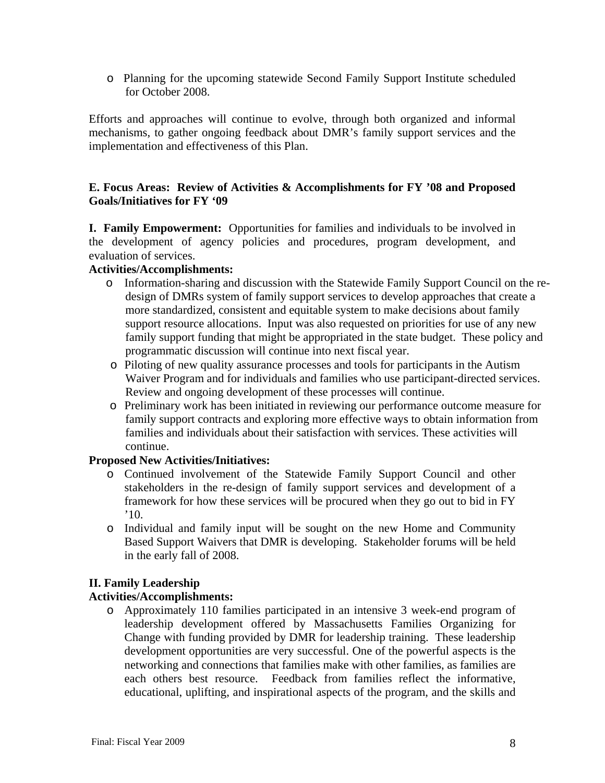o Planning for the upcoming statewide Second Family Support Institute scheduled for October 2008.

Efforts and approaches will continue to evolve, through both organized and informal mechanisms, to gather ongoing feedback about DMR's family support services and the implementation and effectiveness of this Plan.

## **E. Focus Areas: Review of Activities & Accomplishments for FY '08 and Proposed Goals/Initiatives for FY '09**

**I. Family Empowerment:** Opportunities for families and individuals to be involved in the development of agency policies and procedures, program development, and evaluation of services.

## **Activities/Accomplishments:**

- o Information-sharing and discussion with the Statewide Family Support Council on the redesign of DMRs system of family support services to develop approaches that create a more standardized, consistent and equitable system to make decisions about family support resource allocations. Input was also requested on priorities for use of any new family support funding that might be appropriated in the state budget. These policy and programmatic discussion will continue into next fiscal year.
- o Piloting of new quality assurance processes and tools for participants in the Autism Waiver Program and for individuals and families who use participant-directed services. Review and ongoing development of these processes will continue.
- o Preliminary work has been initiated in reviewing our performance outcome measure for family support contracts and exploring more effective ways to obtain information from families and individuals about their satisfaction with services. These activities will continue.

# **Proposed New Activities/Initiatives:**

- o Continued involvement of the Statewide Family Support Council and other stakeholders in the re-design of family support services and development of a framework for how these services will be procured when they go out to bid in FY '10.
- o Individual and family input will be sought on the new Home and Community Based Support Waivers that DMR is developing. Stakeholder forums will be held in the early fall of 2008.

# **II. Family Leadership**

# **Activities/Accomplishments:**

o Approximately 110 families participated in an intensive 3 week-end program of leadership development offered by Massachusetts Families Organizing for Change with funding provided by DMR for leadership training. These leadership development opportunities are very successful. One of the powerful aspects is the networking and connections that families make with other families, as families are each others best resource. Feedback from families reflect the informative, educational, uplifting, and inspirational aspects of the program, and the skills and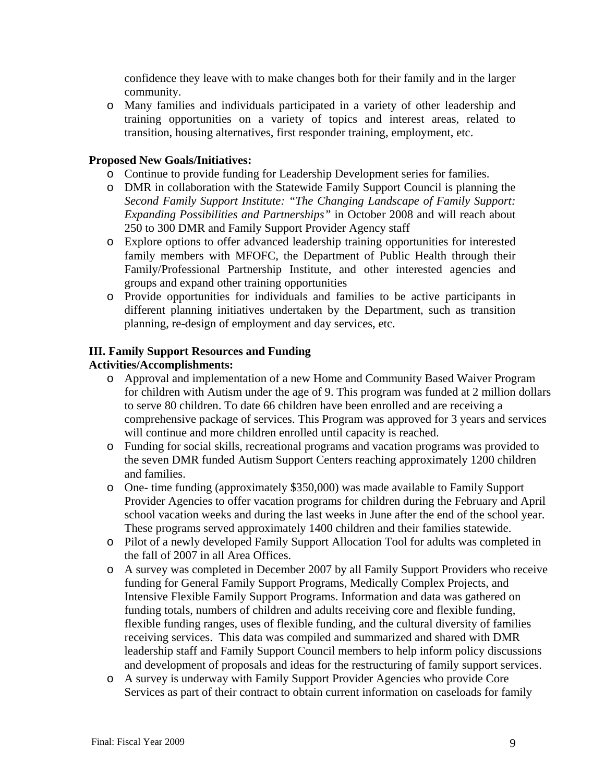confidence they leave with to make changes both for their family and in the larger community.

o Many families and individuals participated in a variety of other leadership and training opportunities on a variety of topics and interest areas, related to transition, housing alternatives, first responder training, employment, etc.

## **Proposed New Goals/Initiatives:**

- o Continue to provide funding for Leadership Development series for families.
- o DMR in collaboration with the Statewide Family Support Council is planning the *Second Family Support Institute: "The Changing Landscape of Family Support: Expanding Possibilities and Partnerships"* in October 2008 and will reach about 250 to 300 DMR and Family Support Provider Agency staff
- o Explore options to offer advanced leadership training opportunities for interested family members with MFOFC, the Department of Public Health through their Family/Professional Partnership Institute, and other interested agencies and groups and expand other training opportunities
- o Provide opportunities for individuals and families to be active participants in different planning initiatives undertaken by the Department, such as transition planning, re-design of employment and day services, etc.

## **III. Family Support Resources and Funding**

## **Activities/Accomplishments:**

- o Approval and implementation of a new Home and Community Based Waiver Program for children with Autism under the age of 9. This program was funded at 2 million dollars to serve 80 children. To date 66 children have been enrolled and are receiving a comprehensive package of services. This Program was approved for 3 years and services will continue and more children enrolled until capacity is reached.
- o Funding for social skills, recreational programs and vacation programs was provided to the seven DMR funded Autism Support Centers reaching approximately 1200 children and families.
- o One- time funding (approximately \$350,000) was made available to Family Support Provider Agencies to offer vacation programs for children during the February and April school vacation weeks and during the last weeks in June after the end of the school year. These programs served approximately 1400 children and their families statewide.
- o Pilot of a newly developed Family Support Allocation Tool for adults was completed in the fall of 2007 in all Area Offices.
- o A survey was completed in December 2007 by all Family Support Providers who receive funding for General Family Support Programs, Medically Complex Projects, and Intensive Flexible Family Support Programs. Information and data was gathered on funding totals, numbers of children and adults receiving core and flexible funding, flexible funding ranges, uses of flexible funding, and the cultural diversity of families receiving services. This data was compiled and summarized and shared with DMR leadership staff and Family Support Council members to help inform policy discussions and development of proposals and ideas for the restructuring of family support services.
- o A survey is underway with Family Support Provider Agencies who provide Core Services as part of their contract to obtain current information on caseloads for family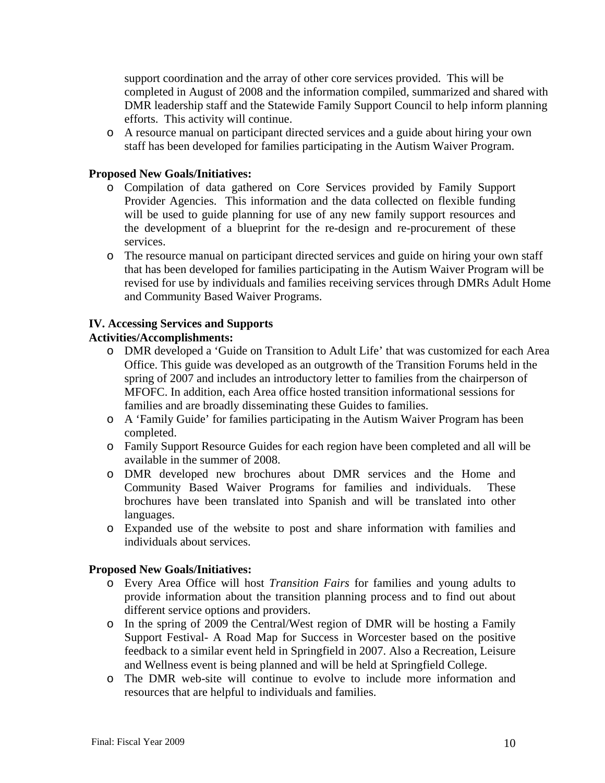support coordination and the array of other core services provided. This will be completed in August of 2008 and the information compiled, summarized and shared with DMR leadership staff and the Statewide Family Support Council to help inform planning efforts. This activity will continue.

o A resource manual on participant directed services and a guide about hiring your own staff has been developed for families participating in the Autism Waiver Program.

## **Proposed New Goals/Initiatives:**

- o Compilation of data gathered on Core Services provided by Family Support Provider Agencies. This information and the data collected on flexible funding will be used to guide planning for use of any new family support resources and the development of a blueprint for the re-design and re-procurement of these services.
- o The resource manual on participant directed services and guide on hiring your own staff that has been developed for families participating in the Autism Waiver Program will be revised for use by individuals and families receiving services through DMRs Adult Home and Community Based Waiver Programs.

## **IV. Accessing Services and Supports**

# **Activities/Accomplishments:**

- o DMR developed a 'Guide on Transition to Adult Life' that was customized for each Area Office. This guide was developed as an outgrowth of the Transition Forums held in the spring of 2007 and includes an introductory letter to families from the chairperson of MFOFC. In addition, each Area office hosted transition informational sessions for families and are broadly disseminating these Guides to families.
- o A 'Family Guide' for families participating in the Autism Waiver Program has been completed.
- o Family Support Resource Guides for each region have been completed and all will be available in the summer of 2008.
- o DMR developed new brochures about DMR services and the Home and Community Based Waiver Programs for families and individuals. These brochures have been translated into Spanish and will be translated into other languages.
- o Expanded use of the website to post and share information with families and individuals about services.

#### **Proposed New Goals/Initiatives:**

- o Every Area Office will host *Transition Fairs* for families and young adults to provide information about the transition planning process and to find out about different service options and providers.
- o In the spring of 2009 the Central/West region of DMR will be hosting a Family Support Festival- A Road Map for Success in Worcester based on the positive feedback to a similar event held in Springfield in 2007. Also a Recreation, Leisure and Wellness event is being planned and will be held at Springfield College.
- o The DMR web-site will continue to evolve to include more information and resources that are helpful to individuals and families.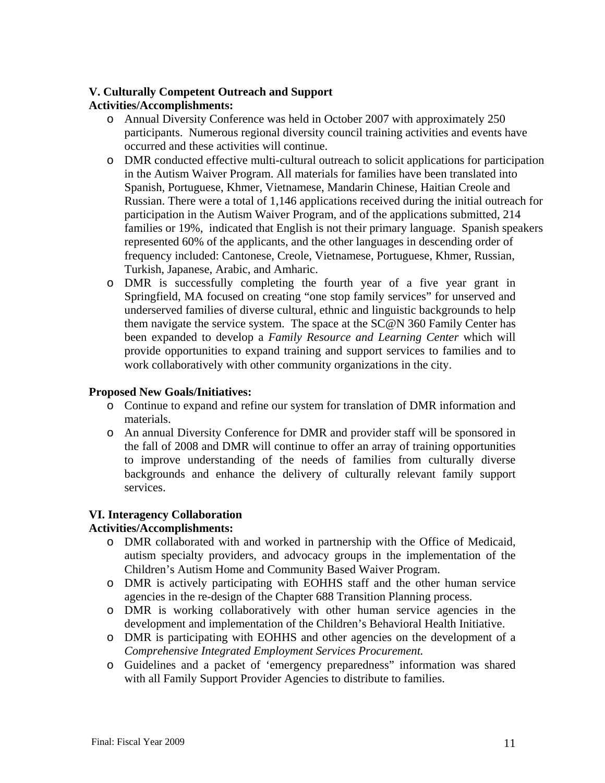# **V. Culturally Competent Outreach and Support**

## **Activities/Accomplishments:**

- o Annual Diversity Conference was held in October 2007 with approximately 250 participants. Numerous regional diversity council training activities and events have occurred and these activities will continue.
- o DMR conducted effective multi-cultural outreach to solicit applications for participation in the Autism Waiver Program. All materials for families have been translated into Spanish, Portuguese, Khmer, Vietnamese, Mandarin Chinese, Haitian Creole and Russian. There were a total of 1,146 applications received during the initial outreach for participation in the Autism Waiver Program, and of the applications submitted, 214 families or 19%, indicated that English is not their primary language. Spanish speakers represented 60% of the applicants, and the other languages in descending order of frequency included: Cantonese, Creole, Vietnamese, Portuguese, Khmer, Russian, Turkish, Japanese, Arabic, and Amharic.
- o DMR is successfully completing the fourth year of a five year grant in Springfield, MA focused on creating "one stop family services" for unserved and underserved families of diverse cultural, ethnic and linguistic backgrounds to help them navigate the service system. The space at the SC@N 360 Family Center has been expanded to develop a *Family Resource and Learning Center* which will provide opportunities to expand training and support services to families and to work collaboratively with other community organizations in the city.

#### **Proposed New Goals/Initiatives:**

- o Continue to expand and refine our system for translation of DMR information and materials.
- o An annual Diversity Conference for DMR and provider staff will be sponsored in the fall of 2008 and DMR will continue to offer an array of training opportunities to improve understanding of the needs of families from culturally diverse backgrounds and enhance the delivery of culturally relevant family support services.

#### **VI. Interagency Collaboration**

#### **Activities/Accomplishments:**

- o DMR collaborated with and worked in partnership with the Office of Medicaid, autism specialty providers, and advocacy groups in the implementation of the Children's Autism Home and Community Based Waiver Program.
- o DMR is actively participating with EOHHS staff and the other human service agencies in the re-design of the Chapter 688 Transition Planning process.
- o DMR is working collaboratively with other human service agencies in the development and implementation of the Children's Behavioral Health Initiative.
- o DMR is participating with EOHHS and other agencies on the development of a *Comprehensive Integrated Employment Services Procurement.*
- o Guidelines and a packet of 'emergency preparedness" information was shared with all Family Support Provider Agencies to distribute to families.